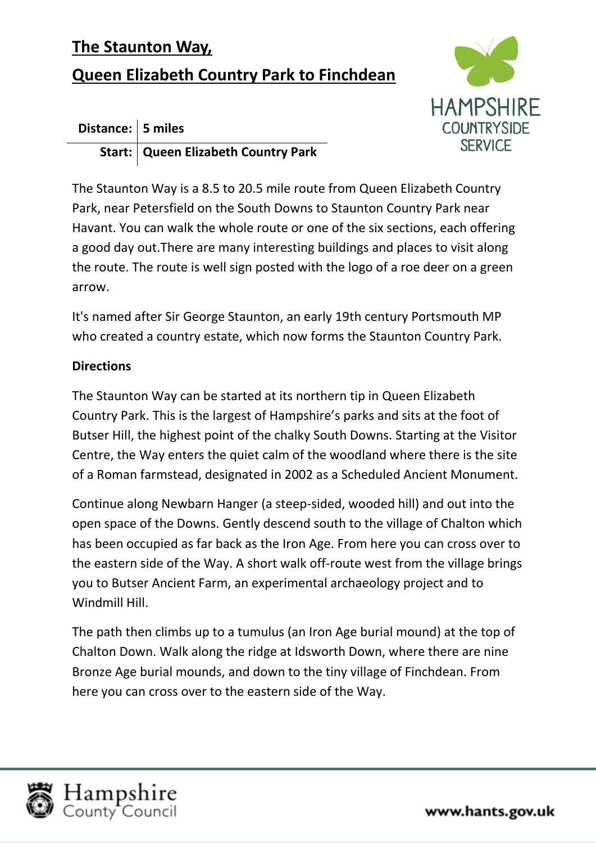## **The Staunton Way,**

## **Queen Elizabeth Country Park to Finchdean**





The Staunton Way is a 8.5 to 20.5 mile route from Queen Elizabeth Country Park, near Petersfield on the South Downs to Staunton Country Park near Havant. You can walk the whole route or one of the six sections, each offering a good day out.There are many interesting buildings and places to visit along the route. The route is well sign posted with the logo of a roe deer on a green arrow.

It's named after Sir George Staunton, an early 19th century Portsmouth MP who created a country estate, which now forms the Staunton Country Park.

## **Directions**

The Staunton Way can be started at its northern tip in Queen Elizabeth Country Park. This is the largest of Hampshire's parks and sits at the foot of Butser Hill, the highest point of the chalky South Downs. Starting at the Visitor Centre, the Way enters the quiet calm of the woodland where there is the site of a Roman farmstead, designated in 2002 as a Scheduled Ancient Monument.

Continue along Newbarn Hanger (a steep-sided, wooded hill) and out into the open space of the Downs. Gently descend south to the village of Chalton which has been occupied as far back as the Iron Age. From here you can cross over to the eastern side of the Way. A short walk off-route west from the village brings you to Butser Ancient Farm, an experimental archaeology project and to Windmill Hill.

The path then climbs up to a tumulus (an Iron Age burial mound) at the top of Chalton Down. Walk along the ridge at Idsworth Down, where there are nine Bronze Age burial mounds, and down to the tiny village of Finchdean. From here you can cross over to the eastern side of the Way.